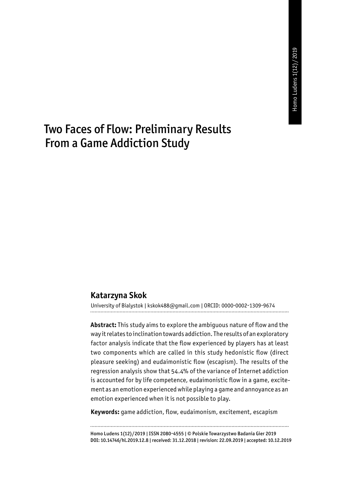# Two Faces of Flow: Preliminary Results From a Game Addiction Study

#### **Katarzyna Skok**

University of Bialystok | kskok488@gmail.com | ORCID: 0000-0002-1309-9674

**Abstract:** This study aims to explore the ambiguous nature of flow and the way it relates to inclination towards addiction. The results of an exploratory factor analysis indicate that the flow experienced by players has at least two components which are called in this study hedonistic flow (direct pleasure seeking) and eudaimonistic flow (escapism). The results of the regression analysis show that 54.4% of the variance of Internet addiction is accounted for by life competence, eudaimonistic flow in a game, excitement as an emotion experienced while playing a game and annoyance as an emotion experienced when it is not possible to play.

**Keywords:** game addiction, flow, eudaimonism, excitement, escapism

Homo Ludens 1(12)/2019 | ISSN 2080-4555 | © Polskie Towarzystwo Badania Gier 2019 DOI: 10.14746/hl.2019.12.8 | received: 31.12.2018 | revision: 22.09.2019 | accepted: 10.12.2019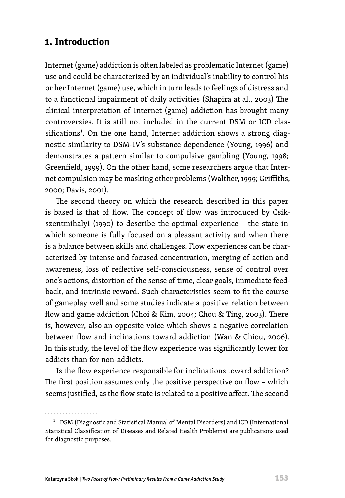# **1. Introduction**

Internet (game) addiction is often labeled as problematic Internet (game) use and could be characterized by an individual's inability to control his or her Internet (game) use, which in turn leads to feelings of distress and to a functional impairment of daily activities (Shapira at al., 2003) The clinical interpretation of Internet (game) addiction has brought many controversies. It is still not included in the current DSM or ICD classifications<sup>1</sup>. On the one hand, Internet addiction shows a strong diagnostic similarity to DSM-IV's substance dependence (Young, 1996) and demonstrates a pattern similar to compulsive gambling (Young, 1998; Greenfield, 1999). On the other hand, some researchers argue that Internet compulsion may be masking other problems (Walther, 1999; Griffiths, 2000; Davis, 2001).

The second theory on which the research described in this paper is based is that of flow. The concept of flow was introduced by Csikszentmihalyi (1990) to describe the optimal experience – the state in which someone is fully focused on a pleasant activity and when there is a balance between skills and challenges. Flow experiences can be characterized by intense and focused concentration, merging of action and awareness, loss of reflective self-consciousness, sense of control over one's actions, distortion of the sense of time, clear goals, immediate feedback, and intrinsic reward. Such characteristics seem to fit the course of gameplay well and some studies indicate a positive relation between flow and game addiction (Choi & Kim, 2004; Chou & Ting, 2003). There is, however, also an opposite voice which shows a negative correlation between flow and inclinations toward addiction (Wan & Chiou, 2006). In this study, the level of the flow experience was significantly lower for addicts than for non-addicts.

Is the flow experience responsible for inclinations toward addiction? The first position assumes only the positive perspective on flow – which seems justified, as the flow state is related to a positive affect. The second

................................

<sup>1</sup> DSM (Diagnostic and Statistical Manual of Mental Disorders) and ICD (International Statistical Classification of Diseases and Related Health Problems) are publications used for diagnostic purposes.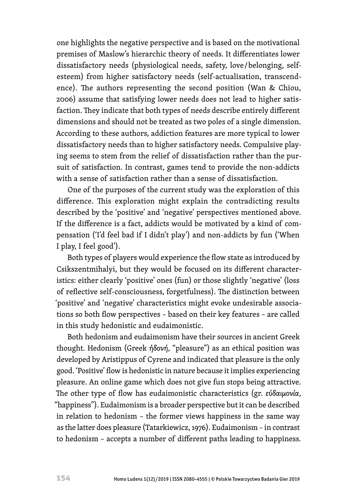one highlights the negative perspective and is based on the motivational premises of Maslow's hierarchic theory of needs. It differentiates lower dissatisfactory needs (physiological needs, safety, love / belonging, selfesteem) from higher satisfactory needs (self-actualisation, transcendence). The authors representing the second position (Wan & Chiou, 2006) assume that satisfying lower needs does not lead to higher satisfaction. They indicate that both types of needs describe entirely different dimensions and should not be treated as two poles of a single dimension. According to these authors, addiction features are more typical to lower dissatisfactory needs than to higher satisfactory needs. Compulsive playing seems to stem from the relief of dissatisfaction rather than the pursuit of satisfaction. In contrast, games tend to provide the non-addicts with a sense of satisfaction rather than a sense of dissatisfaction.

One of the purposes of the current study was the exploration of this difference. This exploration might explain the contradicting results described by the 'positive' and 'negative' perspectives mentioned above. If the difference is a fact, addicts would be motivated by a kind of compensation ('I'd feel bad if I didn't play') and non-addicts by fun ('When I play, I feel good').

Both types of players would experience the flow state as introduced by Csikszentmihalyi, but they would be focused on its different characteristics: either clearly 'positive' ones (fun) or those slightly 'negative' (loss of reflective self-consciousness, forgetfulness). The distinction between 'positive' and 'negative' characteristics might evoke undesirable associations so both flow perspectives – based on their key features – are called in this study hedonistic and eudaimonistic.

Both hedonism and eudaimonism have their sources in ancient Greek thought. Hedonism (Greek *ἡδονή*, "pleasure") as an ethical position was developed by Aristippus of Cyrene and indicated that pleasure is the only good. 'Positive' flow is hedonistic in nature because it implies experiencing pleasure. An online game which does not give fun stops being attractive. The other type of flow has eudaimonistic characteristics (gr. *εὐδαιμονία*, "happiness"). Eudaimonism is a broader perspective but it can be described in relation to hedonism – the former views happiness in the same way as the latter does pleasure (Tatarkiewicz, 1976). Eudaimonism – in contrast to hedonism – accepts a number of different paths leading to happiness.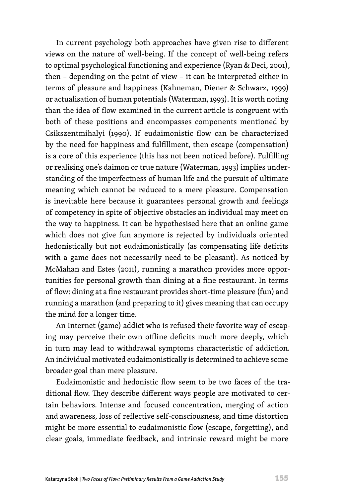In current psychology both approaches have given rise to different views on the nature of well-being. If the concept of well-being refers to optimal psychological functioning and experience (Ryan & Deci, 2001), then – depending on the point of view – it can be interpreted either in terms of pleasure and happiness (Kahneman, Diener & Schwarz, 1999) or actualisation of human potentials (Waterman, 1993). It is worth noting than the idea of flow examined in the current article is congruent with both of these positions and encompasses components mentioned by Csikszentmihalyi (1990). If eudaimonistic flow can be characterized by the need for happiness and fulfillment, then escape (compensation) is a core of this experience (this has not been noticed before). Fulfilling or realising one's daimon or true nature (Waterman, 1993) implies understanding of the imperfectness of human life and the pursuit of ultimate meaning which cannot be reduced to a mere pleasure. Compensation is inevitable here because it guarantees personal growth and feelings of competency in spite of objective obstacles an individual may meet on the way to happiness. It can be hypothesised here that an online game which does not give fun anymore is rejected by individuals oriented hedonistically but not eudaimonistically (as compensating life deficits with a game does not necessarily need to be pleasant). As noticed by McMahan and Estes (2011), running a marathon provides more opportunities for personal growth than dining at a fine restaurant. In terms of flow: dining at a fine restaurant provides short-time pleasure (fun) and running a marathon (and preparing to it) gives meaning that can occupy the mind for a longer time.

An Internet (game) addict who is refused their favorite way of escaping may perceive their own offline deficits much more deeply, which in turn may lead to withdrawal symptoms characteristic of addiction. An individual motivated eudaimonistically is determined to achieve some broader goal than mere pleasure.

Eudaimonistic and hedonistic flow seem to be two faces of the traditional flow. They describe different ways people are motivated to certain behaviors. Intense and focused concentration, merging of action and awareness, loss of reflective self-consciousness, and time distortion might be more essential to eudaimonistic flow (escape, forgetting), and clear goals, immediate feedback, and intrinsic reward might be more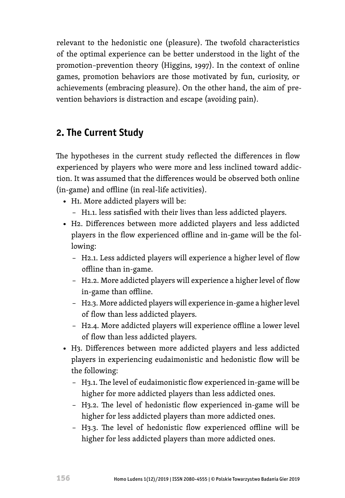relevant to the hedonistic one (pleasure). The twofold characteristics of the optimal experience can be better understood in the light of the promotion–prevention theory (Higgins, 1997). In the context of online games, promotion behaviors are those motivated by fun, curiosity, or achievements (embracing pleasure). On the other hand, the aim of prevention behaviors is distraction and escape (avoiding pain).

# **2. The Current Study**

The hypotheses in the current study reflected the differences in flow experienced by players who were more and less inclined toward addiction. It was assumed that the differences would be observed both online (in-game) and offline (in real-life activities).

- H1. More addicted players will be:
	- H1.1. less satisfied with their lives than less addicted players.
- H2. Differences between more addicted players and less addicted players in the flow experienced offline and in-game will be the following:
	- H2.1. Less addicted players will experience a higher level of flow offline than in-game.
	- H2.2. More addicted players will experience a higher level of flow in-game than offline.
	- H2.3. More addicted players will experience in-game a higher level of flow than less addicted players.
	- H2.4. More addicted players will experience offline a lower level of flow than less addicted players.
- H3. Differences between more addicted players and less addicted players in experiencing eudaimonistic and hedonistic flow will be the following:
	- H3.1. The level of eudaimonistic flow experienced in-game will be higher for more addicted players than less addicted ones.
	- H3.2. The level of hedonistic flow experienced in-game will be higher for less addicted players than more addicted ones.
	- H3.3. The level of hedonistic flow experienced offline will be higher for less addicted players than more addicted ones.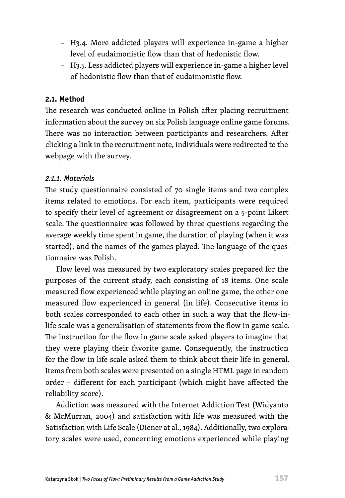- H3.4. More addicted players will experience in-game a higher level of eudaimonistic flow than that of hedonistic flow.
- H3.5. Less addicted players will experience in-game a higher level of hedonistic flow than that of eudaimonistic flow.

#### **2.1. Method**

The research was conducted online in Polish after placing recruitment information about the survey on six Polish language online game forums. There was no interaction between participants and researchers. After clicking a link in the recruitment note, individuals were redirected to the webpage with the survey.

#### *2.1.1. Materials*

The study questionnaire consisted of 70 single items and two complex items related to emotions. For each item, participants were required to specify their level of agreement or disagreement on a 5-point Likert scale. The questionnaire was followed by three questions regarding the average weekly time spent in game, the duration of playing (when it was started), and the names of the games played. The language of the questionnaire was Polish.

Flow level was measured by two exploratory scales prepared for the purposes of the current study, each consisting of 18 items. One scale measured flow experienced while playing an online game, the other one measured flow experienced in general (in life). Consecutive items in both scales corresponded to each other in such a way that the flow-inlife scale was a generalisation of statements from the flow in game scale. The instruction for the flow in game scale asked players to imagine that they were playing their favorite game. Consequently, the instruction for the flow in life scale asked them to think about their life in general. Items from both scales were presented on a single HTML page in random order – different for each participant (which might have affected the reliability score).

Addiction was measured with the Internet Addiction Test (Widyanto & McMurran, 2004) and satisfaction with life was measured with the Satisfaction with Life Scale (Diener at al*.,* 1984). Additionally, two exploratory scales were used, concerning emotions experienced while playing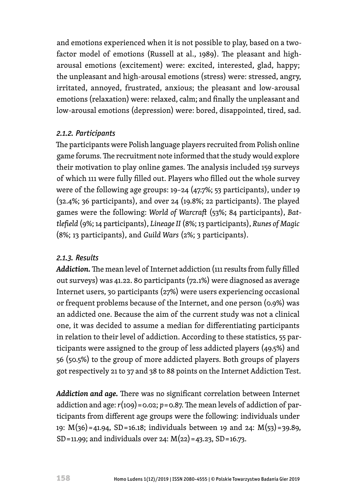and emotions experienced when it is not possible to play, based on a twofactor model of emotions (Russell at al., 1989). The pleasant and higharousal emotions (excitement) were: excited, interested, glad, happy; the unpleasant and high-arousal emotions (stress) were: stressed, angry, irritated, annoyed, frustrated, anxious; the pleasant and low-arousal emotions (relaxation) were: relaxed, calm; and finally the unpleasant and low-arousal emotions (depression) were: bored, disappointed, tired, sad.

### *2.1.2. Participants*

The participants were Polish language players recruited from Polish online game forums. The recruitment note informed that the study would explore their motivation to play online games. The analysis included 159 surveys of which 111 were fully filled out. Players who filled out the whole survey were of the following age groups: 19–24 (47.7%; 53 participants), under 19 (32.4%; 36 participants), and over 24 (19.8%; 22 participants). The played games were the following: *World of Warcraft* (53%; 84 participants), *Battlefield* (9%; 14 participants), *Lineage II* (8%; 13 participants), *Runes of Magic* (8%; 13 participants), and *Guild Wars* (2%; 3 participants).

### *2.1.3. Results*

*Addiction.*The mean level of Internet addiction (111 results from fully filled out surveys) was 41.22. 80 participants (72.1%) were diagnosed as average Internet users, 30 participants (27%) were users experiencing occasional or frequent problems because of the Internet, and one person (0.9%) was an addicted one. Because the aim of the current study was not a clinical one, it was decided to assume a median for differentiating participants in relation to their level of addiction. According to these statistics, 55 participants were assigned to the group of less addicted players (49.5%) and 56 (50.5%) to the group of more addicted players. Both groups of players got respectively 21 to 37 and 38 to 88 points on the Internet Addiction Test.

*Addiction and age.* There was no significant correlation between Internet addiction and age: *r*(109) = 0.02; *p*= 0.87. The mean levels of addiction of participants from different age groups were the following: individuals under 19: M(36) = 41.94, SD = 16.18; individuals between 19 and 24: M(53) = 39.89, SD = 11.99; and individuals over 24: M(22) = 43.23, SD = 16.73.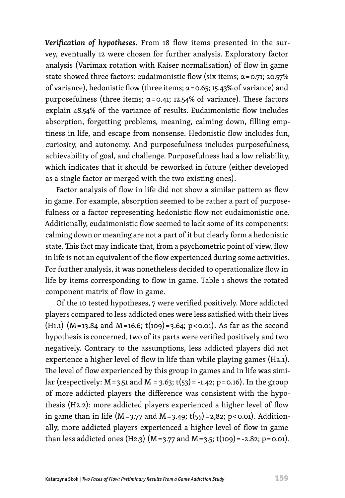*Verification of hypotheses.* From 18 flow items presented in the survey, eventually 12 were chosen for further analysis. Exploratory factor analysis (Varimax rotation with Kaiser normalisation) of flow in game state showed three factors: eudaimonistic flow (six items;  $\alpha$ =0.71; 20.57% of variance), hedonistic flow (three items; α = 0.65; 15.43% of variance) and purposefulness (three items; α = 0.41; 12.54% of variance). These factors explain 48.54% of the variance of results. Eudaimonistic flow includes absorption, forgetting problems, meaning, calming down, filling emptiness in life, and escape from nonsense. Hedonistic flow includes fun, curiosity, and autonomy. And purposefulness includes purposefulness, achievability of goal, and challenge. Purposefulness had a low reliability, which indicates that it should be reworked in future (either developed as a single factor or merged with the two existing ones).

Factor analysis of flow in life did not show a similar pattern as flow in game. For example, absorption seemed to be rather a part of purposefulness or a factor representing hedonistic flow not eudaimonistic one. Additionally, eudaimonistic flow seemed to lack some of its components: calming down or meaning are not a part of it but clearly form a hedonistic state. This fact may indicate that, from a psychometric point of view, flow in life is not an equivalent of the flow experienced during some activities. For further analysis, it was nonetheless decided to operationalize flow in life by items corresponding to flow in game. Table 1 shows the rotated component matrix of flow in game.

Of the 10 tested hypotheses, 7 were verified positively. More addicted players compared to less addicted ones were less satisfied with their lives (H<sub>1.1</sub>) (M=13.84 and M=16.6; t(109)=3.64; p<0.01). As far as the second hypothesis is concerned, two of its parts were verified positively and two negatively. Contrary to the assumptions, less addicted players did not experience a higher level of flow in life than while playing games (H2.1). The level of flow experienced by this group in games and in life was similar (respectively:  $M = 3.51$  and  $M = 3.63$ ;  $t(53) = -1.42$ ; p $= 0.16$ ). In the group of more addicted players the difference was consistent with the hypothesis (H2.2): more addicted players experienced a higher level of flow in game than in life (M=3.77 and M=3.49; t(55) = 2,82; p < 0.01). Additionally, more addicted players experienced a higher level of flow in game than less addicted ones (H2.3) (M=3.77 and M=3.5; t(109) = -2.82; p=0.01).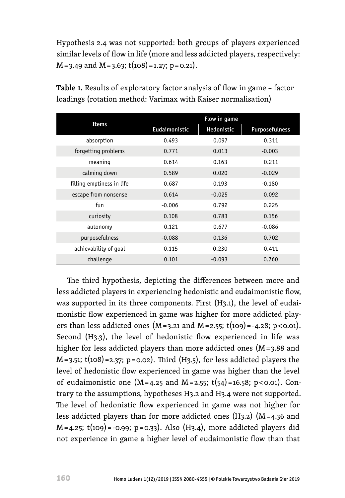Hypothesis 2.4 was not supported: both groups of players experienced similar levels of flow in life (more and less addicted players, respectively: M = 3.49 and M = 3.63; t(108) = 1.27; p = 0.21).

|                           | Flow in game  |            |                |  |  |
|---------------------------|---------------|------------|----------------|--|--|
| <b>Items</b>              | Eudaimonistic | Hedonistic | Purposefulness |  |  |
| absorption                | 0.493         | 0.097      | 0.311          |  |  |
| forgetting problems       | 0.771         | 0.013      | $-0.003$       |  |  |
| meaning                   | 0.614         | 0.163      | 0.211          |  |  |
| calming down              | 0.589         | 0.020      | $-0.029$       |  |  |
| filling emptiness in life | 0.687         | 0.193      | $-0.180$       |  |  |
| escape from nonsense      | 0.614         | $-0.025$   | 0.092          |  |  |
| fun                       | $-0.006$      | 0.792      | 0.225          |  |  |
| curiosity                 | 0.108         | 0.783      | 0.156          |  |  |
| autonomy                  | 0.121         | 0.677      | $-0.086$       |  |  |
| purposefulness            | $-0.088$      | 0.136      | 0.702          |  |  |
| achievability of goal     | 0.115         | 0.230      | 0.411          |  |  |
| challenge                 | 0.101         | $-0.093$   | 0.760          |  |  |

**Table 1.** Results of exploratory factor analysis of flow in game – factor loadings (rotation method: Varimax with Kaiser normalisation)

The third hypothesis, depicting the differences between more and less addicted players in experiencing hedonistic and eudaimonistic flow, was supported in its three components. First (H3.1), the level of eudaimonistic flow experienced in game was higher for more addicted players than less addicted ones ( $M = 3.21$  and  $M = 2.55$ ; t(109) = -4.28; p < 0.01). Second (H3.3), the level of hedonistic flow experienced in life was higher for less addicted players than more addicted ones (M = 3.88 and M = 3.51; t(108) =2.37; p = 0.02). Third (H3.5), for less addicted players the level of hedonistic flow experienced in game was higher than the level of eudaimonistic one ( $M = 4.25$  and  $M = 2.55$ ;  $t(54) = 16.58$ ; p $<0.01$ ). Contrary to the assumptions, hypotheses H3.2 and H3.4 were not supported. The level of hedonistic flow experienced in game was not higher for less addicted players than for more addicted ones  $(H_3, 2)$   $(M = 4.36$  and  $M = 4.25$ ; t(109) = -0.99; p = 0.33). Also (H3.4), more addicted players did not experience in game a higher level of eudaimonistic flow than that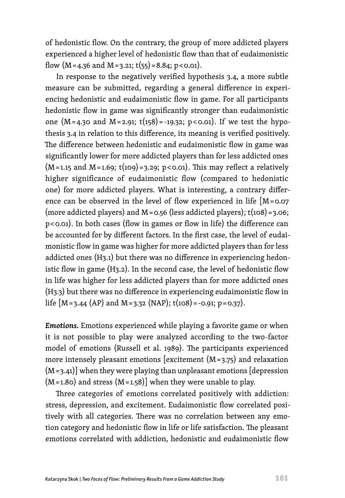of hedonistic flow. On the contrary, the group of more addicted players experienced a higher level of hedonistic flow than that of eudaimonistic flow  $(M=4.36$  and  $M=3.21$ ;  $t(55)=8.84$ ; p $<0.01$ ).

In response to the negatively verified hypothesis 3.4, a more subtle measure can be submitted, regarding a general difference in experiencing hedonistic and eudaimonistic flow in game. For all participants hedonistic flow in game was significantly stronger than eudaimonistic one (M=4.30 and M=2.91; t(158)=-19.32; p<0.01). If we test the hypothesis 3.4 in relation to this difference, its meaning is verified positively. The difference between hedonistic and eudaimonistic flow in game was significantly lower for more addicted players than for less addicted ones  $(M=1.15$  and  $M=1.69$ ; t(109) = 3.29; p < 0.01). This may reflect a relatively higher significance of eudaimonistic flow (compared to hedonistic one) for more addicted players. What is interesting, a contrary difference can be observed in the level of flow experienced in life [M = 0.07 (more addicted players) and  $M = 0.56$  (less addicted players);  $t(108) = 3.06$ ; p < 0.01). In both cases (flow in games or flow in life) the difference can be accounted for by different factors. In the first case, the level of eudaimonistic flow in game was higher for more addicted players than for less addicted ones (H3.1) but there was no difference in experiencing hedonistic flow in game (H3.2). In the second case, the level of hedonistic flow in life was higher for less addicted players than for more addicted ones (H3.3) but there was no difference in experiencing eudaimonistic flow in life  $[M=3.44 (AP)$  and  $M=3.32 (NAP); t(108) = -0.91; p=0.37$ .

*Emotions.* Emotions experienced while playing a favorite game or when it is not possible to play were analyzed according to the two-factor model of emotions (Russell et al. 1989). The participants experienced more intensely pleasant emotions [excitement  $(M=3.75)$  and relaxation  $(M=3.41)$ ] when they were playing than unpleasant emotions [depression]  $(M=1.80)$  and stress  $(M=1.58)$ ] when they were unable to play.

Three categories of emotions correlated positively with addiction: stress, depression, and excitement. Eudaimonistic flow correlated positively with all categories. There was no correlation between any emotion category and hedonistic flow in life or life satisfaction. The pleasant emotions correlated with addiction, hedonistic and eudaimonistic flow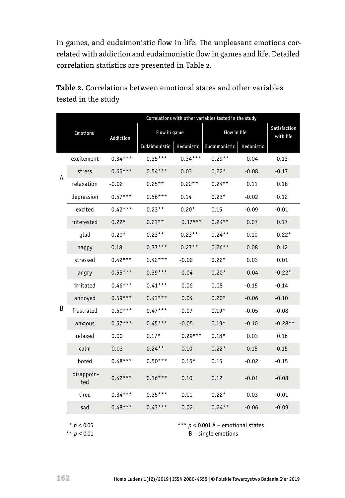in games, and eudaimonistic flow in life. The unpleasant emotions correlated with addiction and eudaimonistic flow in games and life. Detailed correlation statistics are presented in Table 2.

| Table 2. Correlations between emotional states and other variables |  |
|--------------------------------------------------------------------|--|
| tested in the study                                                |  |
|                                                                    |  |

|   |                   |           | Correlations with other variables tested in the study |            |               |            |                           |
|---|-------------------|-----------|-------------------------------------------------------|------------|---------------|------------|---------------------------|
|   | <b>Emotions</b>   | Addiction | Flow in game                                          |            | Flow in life  |            | Satisfaction<br>with life |
|   |                   |           | Eudaimonistic                                         | Hedonistic | Eudaimonistic | Hedonistic |                           |
|   | excitement        | $0.34***$ | $0.35***$                                             | $0.34***$  | $0.29**$      | 0.04       | 0.13                      |
| A | stress            | $0.65***$ | $0.54***$                                             | 0.03       | $0.22*$       | $-0.08$    | $-0.17$                   |
|   | relaxation        | $-0.02$   | $0.25**$                                              | $0.22**$   | $0.24***$     | 0.11       | 0.18                      |
|   | depression        | $0.57***$ | $0.56***$                                             | 0.14       | $0.23*$       | $-0.02$    | 0.12                      |
|   | excited           | $0.42***$ | $0.23**$                                              | $0.20*$    | 0.15          | $-0.09$    | $-0.01$                   |
|   | interested        | $0.22*$   | $0.23**$                                              | $0.37***$  | $0.24***$     | 0.07       | 0.17                      |
|   | glad              | $0.20*$   | $0.23**$                                              | $0.23**$   | $0.24***$     | 0.10       | $0.22*$                   |
|   | happy             | 0.18      | $0.37***$                                             | $0.27**$   | $0.26**$      | 0.08       | 0.12                      |
|   | stressed          | $0.42***$ | $0.42***$                                             | $-0.02$    | $0.22*$       | 0.03       | 0.01                      |
|   | angry             | $0.55***$ | $0.39***$                                             | 0.04       | $0.20*$       | $-0.04$    | $-0.22*$                  |
|   | irritated         | $0.46***$ | $0.41***$                                             | 0.06       | 0.08          | $-0.15$    | $-0.14$                   |
|   | annoyed           | $0.59***$ | $0.43***$                                             | 0.04       | $0.20*$       | $-0.06$    | $-0.10$                   |
| B | frustrated        | $0.50***$ | $0.47***$                                             | 0.07       | $0.19*$       | $-0.05$    | $-0.08$                   |
|   | anxious           | $0.57***$ | $0.45***$                                             | $-0.05$    | $0.19*$       | $-0.10$    | $-0.28**$                 |
|   | relaxed           | 0.00      | $0.17*$                                               | $0.29***$  | $0.18*$       | 0.03       | 0.16                      |
|   | calm              | $-0.03$   | $0.24**$                                              | 0.10       | $0.22*$       | 0.15       | 0.15                      |
|   | bored             | $0.48***$ | $0.50***$                                             | $0.16*$    | 0.15          | $-0.02$    | $-0.15$                   |
|   | disappoin-<br>ted | $0.42***$ | $0.36***$                                             | 0.10       | 0.12          | $-0.01$    | $-0.08$                   |
|   | tired             | $0.34***$ | $0.35***$                                             | 0.11       | $0.22*$       | 0.03       | $-0.01$                   |
|   | sad               | $0.48***$ | $0.43***$                                             | 0.02       | $0.24***$     | $-0.06$    | $-0.09$                   |

\*\*\* *p* < 0.001 A – emotional states

B – single emotions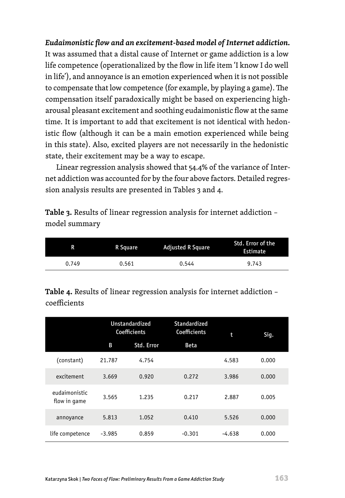*Eudaimonistic flow and an excitement-based model of Internet addiction.* It was assumed that a distal cause of Internet or game addiction is a low life competence (operationalized by the flow in life item 'I know I do well in life'), and annoyance is an emotion experienced when it is not possible to compensate that low competence (for example, by playing a game). The compensation itself paradoxically might be based on experiencing higharousal pleasant excitement and soothing eudaimonistic flow at the same time. It is important to add that excitement is not identical with hedonistic flow (although it can be a main emotion experienced while being in this state). Also, excited players are not necessarily in the hedonistic state, their excitement may be a way to escape.

Linear regression analysis showed that 54.4% of the variance of Internet addiction was accounted for by the four above factors. Detailed regression analysis results are presented in Tables 3 and 4.

**Table 3.** Results of linear regression analysis for internet addiction – model summary

| R     | R Square | <b>Adjusted R Square</b> | Std. Error of the<br>Estimate |
|-------|----------|--------------------------|-------------------------------|
| 0.749 | 0.561    | 0.544                    | 9.743                         |

**Table 4.** Results of linear regression analysis for internet addiction – coefficients

|                               | <b>Unstandardized</b><br>Coefficients |            | Standardized<br>Coefficients | t        | Siq.  |
|-------------------------------|---------------------------------------|------------|------------------------------|----------|-------|
|                               | B                                     | Std. Error | <b>Beta</b>                  |          |       |
| (constant)                    | 21.787                                | 4.754      |                              | 4.583    | 0.000 |
| excitement                    | 3.669                                 | 0.920      | 0.272                        | 3.986    | 0.000 |
| eudaimonistic<br>flow in game | 3.565                                 | 1.235      | 0.217                        | 2.887    | 0.005 |
| annoyance                     | 5.813                                 | 1.052      | 0.410                        | 5.526    | 0.000 |
| life competence               | $-3.985$                              | 0.859      | $-0.301$                     | $-4.638$ | 0.000 |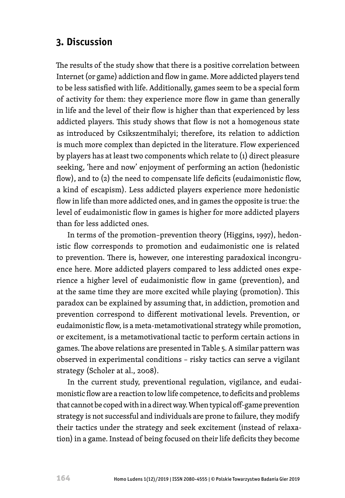## **3. Discussion**

The results of the study show that there is a positive correlation between Internet (or game) addiction and flow in game. More addicted players tend to be less satisfied with life. Additionally, games seem to be a special form of activity for them: they experience more flow in game than generally in life and the level of their flow is higher than that experienced by less addicted players. This study shows that flow is not a homogenous state as introduced by Csikszentmihalyi; therefore, its relation to addiction is much more complex than depicted in the literature. Flow experienced by players has at least two components which relate to (1) direct pleasure seeking, 'here and now' enjoyment of performing an action (hedonistic flow), and to (2) the need to compensate life deficits (eudaimonistic flow, a kind of escapism). Less addicted players experience more hedonistic flow in life than more addicted ones, and in games the opposite is true: the level of eudaimonistic flow in games is higher for more addicted players than for less addicted ones.

In terms of the promotion–prevention theory (Higgins, 1997), hedonistic flow corresponds to promotion and eudaimonistic one is related to prevention. There is, however, one interesting paradoxical incongruence here. More addicted players compared to less addicted ones experience a higher level of eudaimonistic flow in game (prevention), and at the same time they are more excited while playing (promotion). This paradox can be explained by assuming that, in addiction, promotion and prevention correspond to different motivational levels. Prevention, or eudaimonistic flow, is a meta-metamotivational strategy while promotion, or excitement, is a metamotivational tactic to perform certain actions in games. The above relations are presented in Table 5. A similar pattern was observed in experimental conditions – risky tactics can serve a vigilant strategy (Scholer at al., 2008).

In the current study, preventional regulation, vigilance, and eudaimonistic flow are a reaction to low life competence, to deficits and problems that cannot be coped with in a direct way. When typical off-game prevention strategy is not successful and individuals are prone to failure, they modify their tactics under the strategy and seek excitement (instead of relaxation) in a game. Instead of being focused on their life deficits they become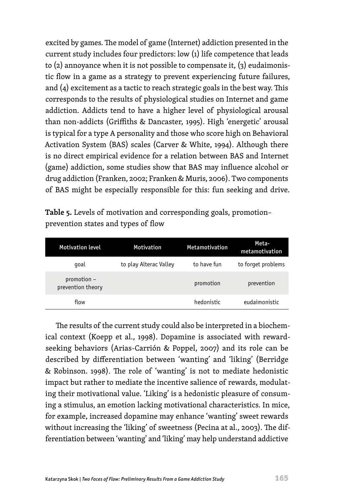excited by games. The model of game (Internet) addiction presented in the current study includes four predictors: low (1) life competence that leads to  $(2)$  annoyance when it is not possible to compensate it,  $(3)$  eudaimonistic flow in a game as a strategy to prevent experiencing future failures, and (4) excitement as a tactic to reach strategic goals in the best way. This corresponds to the results of physiological studies on Internet and game addiction. Addicts tend to have a higher level of physiological arousal than non-addicts (Griffiths & Dancaster, 1995). High 'energetic' arousal is typical for a type A personality and those who score high on Behavioral Activation System (BAS) scales (Carver & White, 1994). Although there is no direct empirical evidence for a relation between BAS and Internet (game) addiction, some studies show that BAS may influence alcohol or drug addiction (Franken, 2002; Franken & Muris, 2006). Two components of BAS might be especially responsible for this: fun seeking and drive.

| Table 5. Levels of motivation and corresponding goals, promotion- |  |  |
|-------------------------------------------------------------------|--|--|
| prevention states and types of flow                               |  |  |

| <b>Motivation level</b>          | <b>Motivation</b>      | <b>Metamotivation</b> | Meta-<br>metamotivation |
|----------------------------------|------------------------|-----------------------|-------------------------|
| goal                             | to play Alterac Valley | to have fun           | to forget problems      |
| promotion -<br>prevention theory |                        | promotion             | prevention              |
| flow                             |                        | hedonistic            | eudaimonistic           |

The results of the current study could also be interpreted in a biochemical context (Koepp et al., 1998). Dopamine is associated with rewardseeking behaviors (Arias-Carrión & Poppel, 2007) and its role can be described by differentiation between 'wanting' and 'liking' (Berridge & Robinson. 1998). The role of 'wanting' is not to mediate hedonistic impact but rather to mediate the incentive salience of rewards, modulating their motivational value. 'Liking' is a hedonistic pleasure of consuming a stimulus, an emotion lacking motivational characteristics. In mice, for example, increased dopamine may enhance 'wanting' sweet rewards without increasing the 'liking' of sweetness (Pecina at al., 2003). The differentiation between 'wanting' and 'liking' may help understand addictive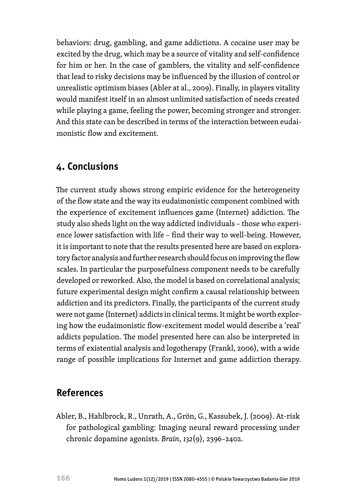behaviors: drug, gambling, and game addictions. A cocaine user may be excited by the drug, which may be a source of vitality and self-confidence for him or her. In the case of gamblers, the vitality and self-confidence that lead to risky decisions may be influenced by the illusion of control or unrealistic optimism biases (Abler at al., 2009). Finally, in players vitality would manifest itself in an almost unlimited satisfaction of needs created while playing a game, feeling the power, becoming stronger and stronger. And this state can be described in terms of the interaction between eudaimonistic flow and excitement.

### **4. Conclusions**

The current study shows strong empiric evidence for the heterogeneity of the flow state and the way its eudaimonistic component combined with the experience of excitement influences game (Internet) addiction. The study also sheds light on the way addicted individuals – those who experience lower satisfaction with life – find their way to well-being. However, it is important to note that the results presented here are based on exploratory factor analysis and further research should focus on improving the flow scales. In particular the purposefulness component needs to be carefully developed or reworked. Also, the model is based on correlational analysis; future experimental design might confirm a causal relationship between addiction and its predictors. Finally, the participants of the current study were not game (Internet) addicts in clinical terms. It might be worth exploring how the eudaimonistic flow-excitement model would describe a 'real' addicts population. The model presented here can also be interpreted in terms of existential analysis and logotherapy (Frankl, 2006), with a wide range of possible implications for Internet and game addiction therapy.

### **References**

Abler, B., Hahlbrock, R., Unrath, A., Grön, G., Kassubek, J. (2009). At-risk for pathological gambling: Imaging neural reward processing under chronic dopamine agonists. *Brain*, *132*(9), 2396–2402.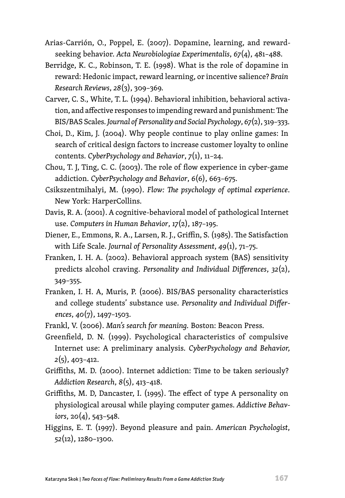- Arias-Carrión, O., Poppel, E. (2007). Dopamine, learning, and rewardseeking behavior. *Acta Neurobiologiae Experimentalis*, *67*(4), 481–488.
- Berridge, K. C., Robinson, T. E. (1998). What is the role of dopamine in reward: Hedonic impact, reward learning, or incentive salience? *Brain Research Reviews*, *28*(3), 309–369.
- Carver, C. S., White, T. L. (1994). Behavioral inhibition, behavioral activation, and affective responses to impending reward and punishment: The BIS/BAS Scales. *Journal of Personality and Social Psychology*, *67*(2), 319–333.
- Choi, D., Kim, J. (2004). Why people continue to play online games: In search of critical design factors to increase customer loyalty to online contents. *CyberPsychology and Behavior*, *7*(1), 11–24.
- Chou, T. J, Ting, C. C. (2003). The role of flow experience in cyber-game addiction. *CyberPsychology and Behavior*, *6*(6), 663–675.
- Csikszentmihalyi, M. (1990). *Flow: The psychology of optimal experience*. New York: HarperCollins.
- Davis, R. A. (2001). A cognitive-behavioral model of pathological Internet use. *Computers in Human Behavior*, *17*(2), 187–195.
- Diener, E., Emmons, R. A., Larsen, R. J., Griffin, S. (1985). The Satisfaction with Life Scale. *Journal of Personality Assessment*, *49*(1), 71–75.
- Franken, I. H. A. (2002). Behavioral approach system (BAS) sensitivity predicts alcohol craving. *Personality and Individual Differences*, *32*(2), 349–355.
- Franken, I. H. A, Muris, P. (2006). BIS/BAS personality characteristics and college students' substance use. *Personality and Individual Differences*, *40*(7), 1497–1503.
- Frankl, V. (2006). *Man's search for meaning.* Boston: Beacon Press.
- Greenfield, D. N. (1999). Psychological characteristics of compulsive Internet use: A preliminary analysis. *CyberPsychology and Behavior, 2*(5), 403–412.
- Griffiths, M. D. (2000). Internet addiction: Time to be taken seriously? *Addiction Research*, *8*(5), 413–418.
- Griffiths, M. D, Dancaster, I. (1995). The effect of type A personality on physiological arousal while playing computer games. *Addictive Behaviors*, 2*0*(4), 543–548.
- Higgins, E. T. (1997). Beyond pleasure and pain. *American Psychologist*, *52*(12), 1280–1300.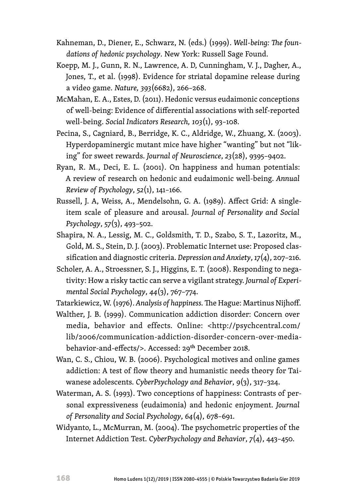- Kahneman, D., Diener, E., Schwarz, N. (eds.) (1999). *Well-being: The foundations of hedonic psychology*. New York: Russell Sage Found.
- Koepp, M. J., Gunn, R. N., Lawrence, A. D, Cunningham, V. J., Dagher, A., Jones, T., et al. (1998). Evidence for striatal dopamine release during a video game. *Nature, 393*(6682), 266–268.
- McMahan, E. A., Estes, D. (2011). Hedonic versus eudaimonic conceptions of well-being: Evidence of differential associations with self-reported well-being. *Social Indicators Research, 103*(1), 93–108.
- Pecina, S., Cagniard, B., Berridge, K. C., Aldridge, W., Zhuang, X. (2003). Hyperdopaminergic mutant mice have higher "wanting" but not "liking" for sweet rewards. *Journal of Neuroscience*, *23*(28), 9395–9402.
- Ryan, R. M., Deci, E. L. (2001). On happiness and human potentials: A review of research on hedonic and eudaimonic well-being. *Annual Review of Psychology*, *52*(1), 141–166.
- Russell, J. A, Weiss, A., Mendelsohn, G. A. (1989). Affect Grid: A singleitem scale of pleasure and arousal. *Journal of Personality and Social Psychology*, *57*(3), 493–502.
- Shapira, N. A., Lessig, M. C., Goldsmith, T. D., Szabo, S. T., Lazoritz, M., Gold, M. S., Stein, D. J. (2003). Problematic Internet use: Proposed classification and diagnostic criteria. *Depression and Anxiety*, *17*(4), 207–216.
- Scholer, A. A., Stroessner, S. J., Higgins, E. T. (2008). Responding to negativity: How a risky tactic can serve a vigilant strategy. *Journal of Experimental Social Psychology*, *44*(3), 767–774.
- Tatarkiewicz, W. (1976). *Analysis of happiness.* The Hague: Martinus Nijhoff.
- Walther, J. B. (1999). Communication addiction disorder: Concern over media, behavior and effects. Online: <[http://psychcentral.com/](http://psychcentral.com/lib/2006/communication-addiction-disorder-concern-over-media-behavior-and-effects/) [lib/2006/communication-addiction-disorder-concern-over-media](http://psychcentral.com/lib/2006/communication-addiction-disorder-concern-over-media-behavior-and-effects/)[behavior-and-effects/](http://psychcentral.com/lib/2006/communication-addiction-disorder-concern-over-media-behavior-and-effects/)>. Accessed: 29th December 2018.
- Wan, C. S., Chiou, W. B. (2006). Psychological motives and online games addiction: A test of flow theory and humanistic needs theory for Taiwanese adolescents. *CyberPsychology and Behavior*, *9*(3), 317–324.
- Waterman, A. S. (1993). Two conceptions of happiness: Contrasts of personal expressiveness (eudaimonia) and hedonic enjoyment. *Journal of Personality and Social Psychology*, *64*(4), 678–691.
- Widyanto, L., McMurran, M. (2004). The psychometric properties of the Internet Addiction Test. *CyberPsychology and Behavior*, *7*(4), 443–450.